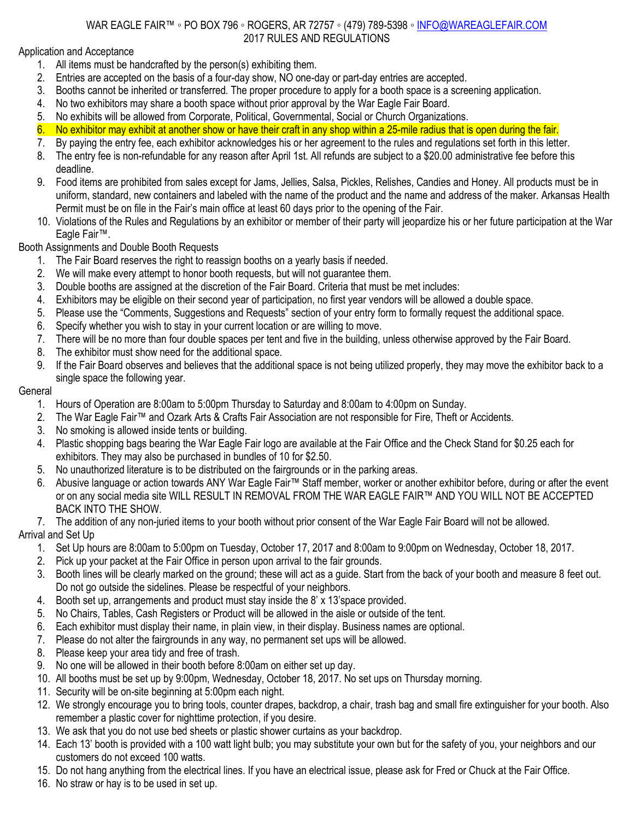### WAR EAGLE FAIR™ ◦ PO BOX 796 ◦ ROGERS, AR 72757 ◦ (479) 789-5398 ◦ [INFO@WAREAGLEFAIR.COM](mailto:INFO@WAREAGLEFAIR.COM) 2017 RULES AND REGULATIONS

# Application and Acceptance

- 1. All items must be handcrafted by the person(s) exhibiting them.
- 2. Entries are accepted on the basis of a four-day show, NO one-day or part-day entries are accepted.
- 3. Booths cannot be inherited or transferred. The proper procedure to apply for a booth space is a screening application.
- 4. No two exhibitors may share a booth space without prior approval by the War Eagle Fair Board.
- 5. No exhibits will be allowed from Corporate, Political, Governmental, Social or Church Organizations.
- 6. No exhibitor may exhibit at another show or have their craft in any shop within a 25-mile radius that is open during the fair.
- 7. By paying the entry fee, each exhibitor acknowledges his or her agreement to the rules and regulations set forth in this letter.
- 8. The entry fee is non-refundable for any reason after April 1st. All refunds are subject to a \$20.00 administrative fee before this deadline.
- 9. Food items are prohibited from sales except for Jams, Jellies, Salsa, Pickles, Relishes, Candies and Honey. All products must be in uniform, standard, new containers and labeled with the name of the product and the name and address of the maker. Arkansas Health Permit must be on file in the Fair's main office at least 60 days prior to the opening of the Fair.
- 10. Violations of the Rules and Regulations by an exhibitor or member of their party will jeopardize his or her future participation at the War Eagle Fair™.

Booth Assignments and Double Booth Requests

- 1. The Fair Board reserves the right to reassign booths on a yearly basis if needed.
- 2. We will make every attempt to honor booth requests, but will not guarantee them.
- 3. Double booths are assigned at the discretion of the Fair Board. Criteria that must be met includes:
- 4. Exhibitors may be eligible on their second year of participation, no first year vendors will be allowed a double space.
- 5. Please use the "Comments, Suggestions and Requests" section of your entry form to formally request the additional space.
- 6. Specify whether you wish to stay in your current location or are willing to move.
- 7. There will be no more than four double spaces per tent and five in the building, unless otherwise approved by the Fair Board.
- 8. The exhibitor must show need for the additional space.
- 9. If the Fair Board observes and believes that the additional space is not being utilized properly, they may move the exhibitor back to a single space the following year.

# General

- 1. Hours of Operation are 8:00am to 5:00pm Thursday to Saturday and 8:00am to 4:00pm on Sunday.
- 2. The War Eagle Fair™ and Ozark Arts & Crafts Fair Association are not responsible for Fire, Theft or Accidents.
- 3. No smoking is allowed inside tents or building.
- 4. Plastic shopping bags bearing the War Eagle Fair logo are available at the Fair Office and the Check Stand for \$0.25 each for exhibitors. They may also be purchased in bundles of 10 for \$2.50.
- 5. No unauthorized literature is to be distributed on the fairgrounds or in the parking areas.
- 6. Abusive language or action towards ANY War Eagle Fair™ Staff member, worker or another exhibitor before, during or after the event or on any social media site WILL RESULT IN REMOVAL FROM THE WAR EAGLE FAIR™ AND YOU WILL NOT BE ACCEPTED BACK INTO THE SHOW.

### 7. The addition of any non-juried items to your booth without prior consent of the War Eagle Fair Board will not be allowed. Arrival and Set Up

- 1. Set Up hours are 8:00am to 5:00pm on Tuesday, October 17, 2017 and 8:00am to 9:00pm on Wednesday, October 18, 2017.
- 2. Pick up your packet at the Fair Office in person upon arrival to the fair grounds.
- 3. Booth lines will be clearly marked on the ground; these will act as a guide. Start from the back of your booth and measure 8 feet out. Do not go outside the sidelines. Please be respectful of your neighbors.
- 4. Booth set up, arrangements and product must stay inside the 8' x 13'space provided.
- 5. No Chairs, Tables, Cash Registers or Product will be allowed in the aisle or outside of the tent.
- 6. Each exhibitor must display their name, in plain view, in their display. Business names are optional.
- 7. Please do not alter the fairgrounds in any way, no permanent set ups will be allowed.
- 8. Please keep your area tidy and free of trash.
- 9. No one will be allowed in their booth before 8:00am on either set up day.
- 10. All booths must be set up by 9:00pm, Wednesday, October 18, 2017. No set ups on Thursday morning.
- 11. Security will be on-site beginning at 5:00pm each night.
- 12. We strongly encourage you to bring tools, counter drapes, backdrop, a chair, trash bag and small fire extinguisher for your booth. Also remember a plastic cover for nighttime protection, if you desire.
- 13. We ask that you do not use bed sheets or plastic shower curtains as your backdrop.
- 14. Each 13' booth is provided with a 100 watt light bulb; you may substitute your own but for the safety of you, your neighbors and our customers do not exceed 100 watts.
- 15. Do not hang anything from the electrical lines. If you have an electrical issue, please ask for Fred or Chuck at the Fair Office.
- 16. No straw or hay is to be used in set up.